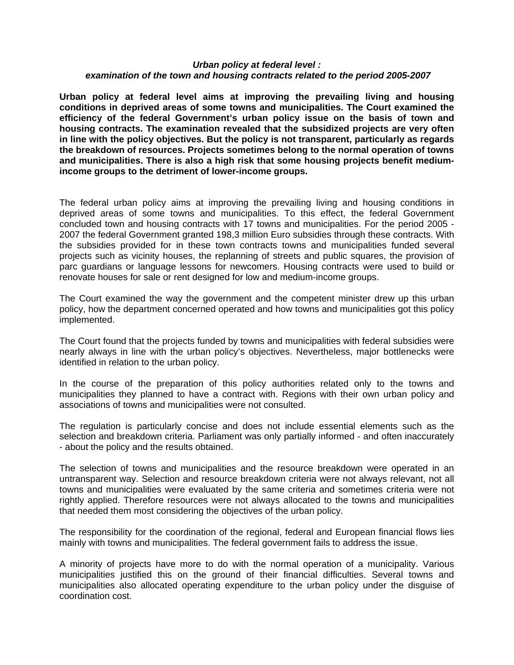## *Urban policy at federal level : examination of the town and housing contracts related to the period 2005-2007*

**Urban policy at federal level aims at improving the prevailing living and housing conditions in deprived areas of some towns and municipalities. The Court examined the efficiency of the federal Government's urban policy issue on the basis of town and housing contracts. The examination revealed that the subsidized projects are very often in line with the policy objectives. But the policy is not transparent, particularly as regards the breakdown of resources. Projects sometimes belong to the normal operation of towns and municipalities. There is also a high risk that some housing projects benefit mediumincome groups to the detriment of lower-income groups.** 

The federal urban policy aims at improving the prevailing living and housing conditions in deprived areas of some towns and municipalities. To this effect, the federal Government concluded town and housing contracts with 17 towns and municipalities. For the period 2005 - 2007 the federal Government granted 198,3 million Euro subsidies through these contracts. With the subsidies provided for in these town contracts towns and municipalities funded several projects such as vicinity houses, the replanning of streets and public squares, the provision of parc guardians or language lessons for newcomers. Housing contracts were used to build or renovate houses for sale or rent designed for low and medium-income groups.

The Court examined the way the government and the competent minister drew up this urban policy, how the department concerned operated and how towns and municipalities got this policy implemented.

The Court found that the projects funded by towns and municipalities with federal subsidies were nearly always in line with the urban policy's objectives. Nevertheless, major bottlenecks were identified in relation to the urban policy.

In the course of the preparation of this policy authorities related only to the towns and municipalities they planned to have a contract with. Regions with their own urban policy and associations of towns and municipalities were not consulted.

The regulation is particularly concise and does not include essential elements such as the selection and breakdown criteria. Parliament was only partially informed - and often inaccurately - about the policy and the results obtained.

The selection of towns and municipalities and the resource breakdown were operated in an untransparent way. Selection and resource breakdown criteria were not always relevant, not all towns and municipalities were evaluated by the same criteria and sometimes criteria were not rightly applied. Therefore resources were not always allocated to the towns and municipalities that needed them most considering the objectives of the urban policy.

The responsibility for the coordination of the regional, federal and European financial flows lies mainly with towns and municipalities. The federal government fails to address the issue.

A minority of projects have more to do with the normal operation of a municipality. Various municipalities justified this on the ground of their financial difficulties. Several towns and municipalities also allocated operating expenditure to the urban policy under the disguise of coordination cost.